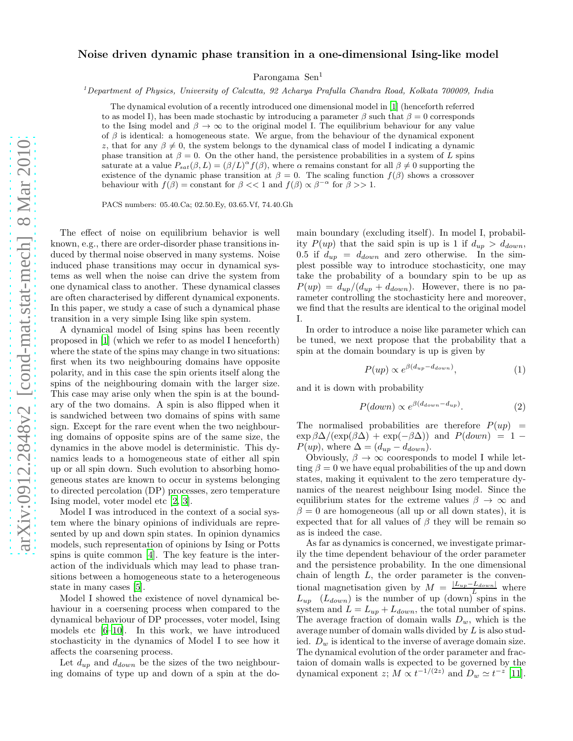## Noise driven dynamic phase transition in a one-dimensional Ising-like model

Parongama Sen<sup>1</sup>

 $1<sup>1</sup>$ Department of Physics, University of Calcutta, 92 Acharya Prafulla Chandra Road, Kolkata 700009, India

The dynamical evolution of a recently introduced one dimensional model in [\[1](#page-3-0)] (henceforth referred to as model I), has been made stochastic by introducing a parameter  $\beta$  such that  $\beta = 0$  corresponds to the Ising model and  $\beta \to \infty$  to the original model I. The equilibrium behaviour for any value of  $\beta$  is identical: a homogeneous state. We argue, from the behaviour of the dynamical exponent z, that for any  $\beta \neq 0$ , the system belongs to the dynamical class of model I indicating a dynamic phase transition at  $\beta = 0$ . On the other hand, the persistence probabilities in a system of L spins saturate at a value  $P_{sat}(\beta, L) = (\beta/L)^{\alpha} f(\beta)$ , where  $\alpha$  remains constant for all  $\beta \neq 0$  supporting the existence of the dynamic phase transition at  $\beta = 0$ . The scaling function  $f(\beta)$  shows a crossover behaviour with  $f(\beta) = \text{constant}$  for  $\beta \ll 1$  and  $f(\beta) \propto \beta^{-\alpha}$  for  $\beta >> 1$ .

PACS numbers: 05.40.Ca; 02.50.Ey, 03.65.Vf, 74.40.Gh

The effect of noise on equilibrium behavior is well known, e.g., there are order-disorder phase transitions induced by thermal noise observed in many systems. Noise induced phase transitions may occur in dynamical systems as well when the noise can drive the system from one dynamical class to another. These dynamical classes are often characterised by different dynamical exponents. In this paper, we study a case of such a dynamical phase transition in a very simple Ising like spin system.

A dynamical model of Ising spins has been recently proposed in [\[1](#page-3-0)] (which we refer to as model I henceforth) where the state of the spins may change in two situations: first when its two neighbouring domains have opposite polarity, and in this case the spin orients itself along the spins of the neighbouring domain with the larger size. This case may arise only when the spin is at the boundary of the two domains. A spin is also flipped when it is sandwiched between two domains of spins with same sign. Except for the rare event when the two neighbouring domains of opposite spins are of the same size, the dynamics in the above model is deterministic. This dynamics leads to a homogeneous state of either all spin up or all spin down. Such evolution to absorbing homogeneous states are known to occur in systems belonging to directed percolation (DP) processes, zero temperature Ising model, voter model etc [\[2](#page-3-1), [3\]](#page-3-2).

Model I was introduced in the context of a social system where the binary opinions of individuals are represented by up and down spin states. In opinion dynamics models, such representation of opinions by Ising or Potts spins is quite common [\[4](#page-3-3)]. The key feature is the interaction of the individuals which may lead to phase transitions between a homogeneous state to a heterogeneous state in many cases [\[5\]](#page-3-4).

Model I showed the existence of novel dynamical behaviour in a coersening process when compared to the dynamical behaviour of DP processes, voter model, Ising models etc [\[6](#page-3-5)[–10](#page-3-6)]. In this work, we have introduced stochasticity in the dynamics of Model I to see how it affects the coarsening process.

Let  $d_{up}$  and  $d_{down}$  be the sizes of the two neighbouring domains of type up and down of a spin at the domain boundary (excluding itself). In model I, probability  $P(up)$  that the said spin is up is 1 if  $d_{up} > d_{down}$ , 0.5 if  $d_{up} = d_{down}$  and zero otherwise. In the simplest possible way to introduce stochasticity, one may take the probability of a boundary spin to be up as  $P(up) = d_{up}/(d_{up} + d_{down}).$  However, there is no parameter controlling the stochasticity here and moreover, we find that the results are identical to the original model I.

In order to introduce a noise like parameter which can be tuned, we next propose that the probability that a spin at the domain boundary is up is given by

$$
P(up) \propto e^{\beta (d_{up} - d_{down})},\tag{1}
$$

and it is down with probability

$$
P(down) \propto e^{\beta(d_{down} - d_{up})}.
$$
 (2)

The normalised probabilities are therefore  $P(up)$  =  $\exp \beta \Delta / (\exp(\beta \Delta) + \exp(-\beta \Delta))$  and  $P(down) = 1 P(up)$ , where  $\Delta = (d_{up} - d_{down})$ .

Obviously,  $\beta \to \infty$  cooresponds to model I while letting  $\beta = 0$  we have equal probabilities of the up and down states, making it equivalent to the zero temperature dynamics of the nearest neighbour Ising model. Since the equilibrium states for the extreme values  $\beta \to \infty$  and  $\beta = 0$  are homogeneous (all up or all down states), it is expected that for all values of  $\beta$  they will be remain so as is indeed the case.

As far as dynamics is concerned, we investigate primarily the time dependent behaviour of the order parameter and the persistence probability. In the one dimensional chain of length  $L$ , the order parameter is the conventional magnetisation given by  $M = \frac{|L_{up} - L_{down}|}{L}$  where  $L_{up}$  ( $L_{down}$ ) is the number of up (down) spins in the system and  $L = L_{up} + L_{down}$ , the total number of spins. The average fraction of domain walls  $D_w$ , which is the average number of domain walls divided by L is also studied.  $D_w$  is identical to the inverse of average domain size. The dynamical evolution of the order parameter and fractaion of domain walls is expected to be governed by the dynamical exponent  $z$ ;  $M \propto t^{-1/(2z)}$  and  $D_w \simeq t^{-z}$  [\[11\]](#page-3-7).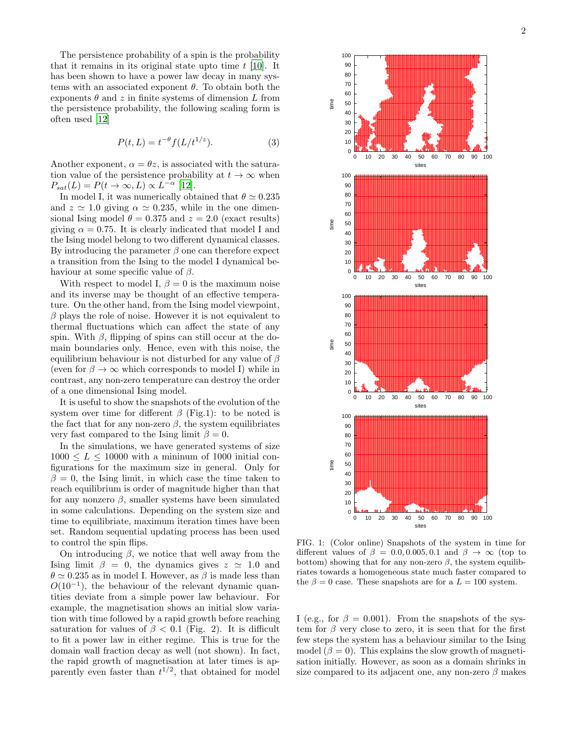The persistence probability of a spin is the probability that it remains in its original state upto time  $t \sim 10$ . It has been shown to have a power law decay in many systems with an associated exponent  $\theta$ . To obtain both the exponents  $\theta$  and z in finite systems of dimension L from the persistence probability, the following scaling form is often used [\[12\]](#page-3-8)

$$
P(t, L) = t^{-\theta} f(L/t^{1/z}).
$$
\n(3)

Another exponent,  $\alpha = \theta z$ , is associated with the saturation value of the persistence probability at  $t \to \infty$  when  $P_{sat}(L) = P(t \to \infty, L) \propto L^{-\alpha}$  [\[12\]](#page-3-8).

In model I, it was numerically obtained that  $\theta \simeq 0.235$ and  $z \approx 1.0$  giving  $\alpha \approx 0.235$ , while in the one dimensional Ising model  $\theta = 0.375$  and  $z = 2.0$  (exact results) giving  $\alpha = 0.75$ . It is clearly indicated that model I and the Ising model belong to two different dynamical classes. By introducing the parameter  $\beta$  one can therefore expect a transition from the Ising to the model I dynamical behaviour at some specific value of  $\beta$ .

With respect to model I,  $\beta = 0$  is the maximum noise and its inverse may be thought of an effective temperature. On the other hand, from the Ising model viewpoint,  $\beta$  plays the role of noise. However it is not equivalent to thermal fluctuations which can affect the state of any spin. With  $\beta$ , flipping of spins can still occur at the domain boundaries only. Hence, even with this noise, the equilibrium behaviour is not disturbed for any value of  $\beta$ (even for  $\beta \to \infty$  which corresponds to model I) while in contrast, any non-zero temperature can destroy the order of a one dimensional Ising model.

It is useful to show the snapshots of the evolution of the system over time for different  $\beta$  (Fig.1): to be noted is the fact that for any non-zero  $\beta$ , the system equilibriates very fast compared to the Ising limit  $\beta = 0$ .

In the simulations, we have generated systems of size  $1000 \leq L \leq 10000$  with a mininum of 1000 initial configurations for the maximum size in general. Only for  $\beta = 0$ , the Ising limit, in which case the time taken to reach equilibrium is order of magnitude higher than that for any nonzero  $\beta$ , smaller systems have been simulated in some calculations. Depending on the system size and time to equilibriate, maximum iteration times have been set. Random sequential updating process has been used to control the spin flips.

On introducing  $\beta$ , we notice that well away from the Ising limit  $\beta = 0$ , the dynamics gives  $z \approx 1.0$  and  $\theta \simeq 0.235$  as in model I. However, as  $\beta$  is made less than  $O(10^{-1})$ , the behaviour of the relevant dynamic quantities deviate from a simple power law behaviour. For example, the magnetisation shows an initial slow variation with time followed by a rapid growth before reaching saturation for values of  $\beta$  < 0.1 (Fig. 2). It is difficult to fit a power law in either regime. This is true for the domain wall fraction decay as well (not shown). In fact, the rapid growth of magnetisation at later times is apparently even faster than  $t^{1/2}$ , that obtained for model



FIG. 1: (Color online) Snapshots of the system in time for different values of  $\beta = 0.0, 0.005, 0.1$  and  $\beta \rightarrow \infty$  (top to bottom) showing that for any non-zero  $\beta$ , the system equilibriates towards a homogeneous state much faster compared to the  $\beta = 0$  case. These snapshots are for a  $L = 100$  system.

I (e.g., for  $\beta = 0.001$ ). From the snapshots of the system for  $\beta$  very close to zero, it is seen that for the first few steps the system has a behaviour similar to the Ising model  $(\beta = 0)$ . This explains the slow growth of magnetisation initially. However, as soon as a domain shrinks in size compared to its adjacent one, any non-zero  $\beta$  makes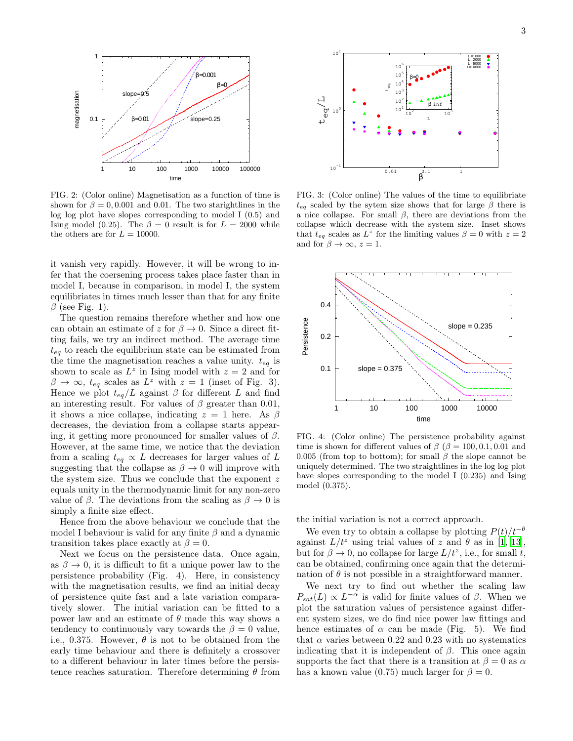

FIG. 2: (Color online) Magnetisation as a function of time is shown for  $\beta = 0, 0.001$  and 0.01. The two starightlines in the log log plot have slopes corresponding to model I (0.5) and Ising model (0.25). The  $\beta = 0$  result is for  $L = 2000$  while the others are for  $L = 10000$ .

it vanish very rapidly. However, it will be wrong to infer that the coersening process takes place faster than in model I, because in comparison, in model I, the system equilibriates in times much lesser than that for any finite  $\beta$  (see Fig. 1).

The question remains therefore whether and how one can obtain an estimate of z for  $\beta \to 0$ . Since a direct fitting fails, we try an indirect method. The average time  $t_{eq}$  to reach the equilibrium state can be estimated from the time the magnetisation reaches a value unity.  $t_{eq}$  is shown to scale as  $L^z$  in Ising model with  $z = 2$  and for  $\beta \to \infty$ ,  $t_{eq}$  scales as  $L^z$  with  $z = 1$  (inset of Fig. 3). Hence we plot  $t_{eq}/L$  against  $\beta$  for different L and find an interesting result. For values of  $\beta$  greater than 0.01, it shows a nice collapse, indicating  $z = 1$  here. As  $\beta$ decreases, the deviation from a collapse starts appearing, it getting more pronounced for smaller values of  $\beta$ . However, at the same time, we notice that the deviation from a scaling  $t_{eq} \propto L$  decreases for larger values of L suggesting that the collapse as  $\beta \to 0$  will improve with the system size. Thus we conclude that the exponent z equals unity in the thermodynamic limit for any non-zero value of  $\beta$ . The deviations from the scaling as  $\beta \to 0$  is simply a finite size effect.

Hence from the above behaviour we conclude that the model I behaviour is valid for any finite  $\beta$  and a dynamic transition takes place exactly at  $\beta = 0$ .

Next we focus on the persistence data. Once again, as  $\beta \to 0$ , it is difficult to fit a unique power law to the persistence probability (Fig. 4). Here, in consistency with the magnetisation results, we find an initial decay of persistence quite fast and a late variation comparatively slower. The initial variation can be fitted to a power law and an estimate of  $\theta$  made this way shows a tendency to continuously vary towards the  $\beta = 0$  value, i.e., 0.375. However,  $\theta$  is not to be obtained from the early time behaviour and there is definitely a crossover to a different behaviour in later times before the persistence reaches saturation. Therefore determining  $\theta$  from



FIG. 3: (Color online) The values of the time to equilibriate  $t_{eq}$  scaled by the sytem size shows that for large  $\beta$  there is a nice collapse. For small  $\beta$ , there are deviations from the collapse which decrease with the system size. Inset shows that  $t_{eq}$  scales as  $L^z$  for the limiting values  $\beta = 0$  with  $z = 2$ and for  $\beta \to \infty$ ,  $z = 1$ .



FIG. 4: (Color online) The persistence probability against time is shown for different values of  $\beta$  ( $\beta = 100, 0.1, 0.01$  and 0.005 (from top to bottom); for small  $\beta$  the slope cannot be uniquely determined. The two straightlines in the log log plot have slopes corresponding to the model I (0.235) and Ising model (0.375).

the initial variation is not a correct approach.

We even try to obtain a collapse by plotting  $P(t)/t^{-\theta}$ against  $L/t^2$  using trial values of z and  $\theta$  as in [\[1,](#page-3-0) [13\]](#page-3-9), but for  $\beta \to 0$ , no collapse for large  $L/t^z$ , i.e., for small t, can be obtained, confirming once again that the determination of  $\theta$  is not possible in a straightforward manner.

We next try to find out whether the scaling law  $P_{sat}(L) \propto L^{-\alpha}$  is valid for finite values of  $\beta$ . When we plot the saturation values of persistence against different system sizes, we do find nice power law fittings and hence estimates of  $\alpha$  can be made (Fig. 5). We find that  $\alpha$  varies between 0.22 and 0.23 with no systematics indicating that it is independent of  $\beta$ . This once again supports the fact that there is a transition at  $\beta = 0$  as  $\alpha$ has a known value (0.75) much larger for  $\beta = 0$ .